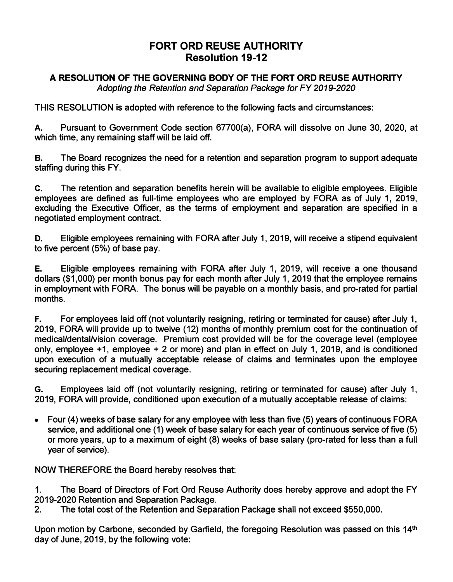## **FORT ORD REUSE AUTHORITY Resolution 19-12**

## **A RESOLUTION OF THE GOVERNING BODY OF THE FORT ORD REUSE AUTHORITY**

*Adopting the Retention and Separation Package for FY 2019-2020* 

**THIS RESOLUTION is adopted with reference to the following facts and circumstances:** 

**A. Pursuant to Government Code section 67700(a), FORA will dissolve on June 30, 2020, at which time, any remaining staff will be laid off.**

**B. The Board recognizes the need for a retention and separation program to support adequate staffing during this FY.**

**C. The retention and separation benefits herein will be available to eligible employees. Eligible employees are defined as full-time employees who are employed by FORA as of July 1, 2019, excluding the Executive Officer, as the terms of employment and separation are specified in a negotiated employment contract.**

**D. Eligible employees remaining with FORA after July 1, 2019, will receive a stipend equivalent to five percent (5%) of base pay.**

**E. Eligible employees remaining with FORA after July 1, 2019, will receive a one thousand dollars (\$1,000) per month bonus pay for each month after July 1, 2019 that the employee remains in employment with FORA. The bonus will be payable on a monthly basis, and pro-rated for partial months.**

**F. For employees laid off (not voluntarily resigning, retiring or terminated for cause) after July 1, 2019, FORA will provide up to twelve (12) months of monthly premium cost for the continuation of medical/dental/vision coverage. Premium cost provided will be for the coverage level (employee only, employee +1, employee + 2 or more) and plan in effect on July 1, 2019, and is conditioned upon execution of a mutually acceptable release of claims and terminates upon the employee securing replacement medical coverage.**

**G. Employees laid off (not voluntarily resigning, retiring or terminated for cause) after July 1, 2019, FORA will provide, conditioned upon execution of a mutually acceptable release of claims:**

**• Four (4) weeks of base salary for any employee with less than five (5) years of continuous FORA service, and additional one (1) week of base salary for each year of continuous service of five (5) or more years, up to a maximum of eight (8) weeks of base salary (pro-rated for less than a full year of service).**

**NOW THEREFORE the Board hereby resolves that:** 

**1. The Board of Directors of Fort Ord Reuse Authority does hereby approve and adopt the FY 2019-2020 Retention and Separation Package.**

**2. The total cost of the Retention and Separation Package shall not exceed \$550,000.**

**Upon motion by Carbone, seconded by Garfield, the foregoing Resolution was passed on this 14th day of June, 2019, by the following vote:**